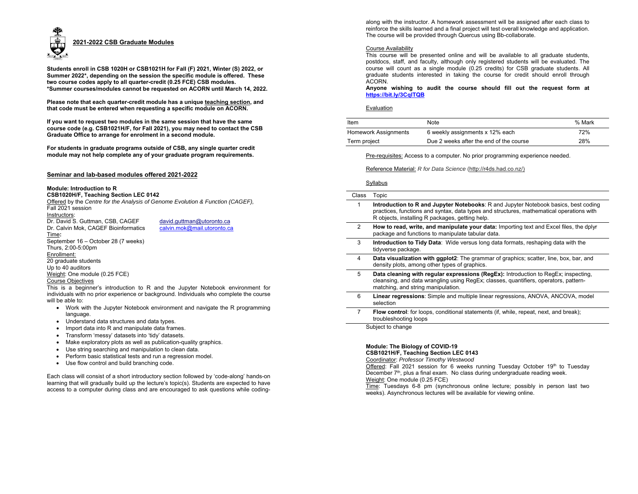

**Students enroll in CSB 1020H or CSB1021H for Fall (F) 2021, Winter (S) 2022, or Summer 2022\*, depending on the session the specific module is offered. These two course codes apply to all quarter-credit (0.25 FCE) CSB modules. \*Summer courses/modules cannot be requested on ACORN until March 14, 2022.** 

**Please note that each quarter-credit module has a unique teaching section, and that code must be entered when requesting a specific module on ACORN.** 

**If you want to request two modules in the same session that have the same course code (e.g. CSB1021H/F, for Fall 2021), you may need to contact the CSB Graduate Office to arrange for enrolment in a second module.** 

**For students in graduate programs outside of CSB, any single quarter credit module may not help complete any of your graduate program requirements.** 

# **Seminar and lab-based modules offered 2021-2022**

#### **Module: Introduction to R**

**CSB1020H/F, Teaching Section LEC 0142** 

Offered by the *Centre for the Analysis of Genome Evolution & Function (CAGEF),*  Fall 2021 session

Instructors:

Dr. David S. Guttman, CSB, CAGEF david.guttman@utoronto.ca Dr. Calvin Mok, CAGEF Bioinformatics calvin.mok@mail.utoronto.ca

Time**:**  September 16 – October 28 (7 weeks) Thurs, 2:00-5:00pm Enrollment: 20 graduate students Up to 40 auditors Weight: One module (0.25 FCE) Course Objectives

This is a beginner's introduction to R and the Jupyter Notebook environment for individuals with no prior experience or background. Individuals who complete the course will be able to:

- Work with the Jupyter Notebook environment and navigate the R programming language.
- Understand data structures and data types.
- Import data into R and manipulate data frames.
- Transform 'messy' datasets into 'tidy' datasets.
- Make exploratory plots as well as publication-quality graphics.
- Use string searching and manipulation to clean data.
- Perform basic statistical tests and run a regression model.
- Use flow control and build branching code.

Each class will consist of a short introductory section followed by 'code-along' hands-on learning that will gradually build up the lecture's topic(s). Students are expected to have access to a computer during class and are encouraged to ask questions while coding-

along with the instructor. A homework assessment will be assigned after each class to<br>reinforce the skills learned and a final project will test overall knowledge and application.<br>The course will be provided through Quercu

**Anyone wishing to audit the course should fill out the request form at https://bit.ly/3CqlTQB** 

| Item                        | Note                                    | % Mark |
|-----------------------------|-----------------------------------------|--------|
| <b>Homework Assignments</b> | 6 weekly assignments x 12% each         | 72%    |
| Term project                | Due 2 weeks after the end of the course | 28%    |

Reference Material: *R for Data Science* (http://r4ds.had.co.nz/)

|       | Syllabus                                                                                                                                                                                                                                  |
|-------|-------------------------------------------------------------------------------------------------------------------------------------------------------------------------------------------------------------------------------------------|
| Class | Topic                                                                                                                                                                                                                                     |
| 1     | <b>Introduction to R and Jupyter Notebooks:</b> R and Jupyter Notebook basics, best coding<br>practices, functions and syntax, data types and structures, mathematical operations with<br>R objects, installing R packages, getting help. |
| 2     | How to read, write, and manipulate your data: Importing text and Excel files, the dplyr<br>package and functions to manipulate tabular data.                                                                                              |
| 3     | <b>Introduction to Tidy Data</b> : Wide versus long data formats, reshaping data with the<br>tidyverse package.                                                                                                                           |
| 4     | <b>Data visualization with ggplot2:</b> The grammar of graphics; scatter, line, box, bar, and<br>density plots, among other types of graphics.                                                                                            |
| 5     | Data cleaning with regular expressions (RegEx): Introduction to RegEx; inspecting,<br>cleansing, and data wrangling using RegEx; classes, quantifiers, operators, pattern-<br>matching, and string manipulation.                          |
| 6     | <b>Linear regressions:</b> Simple and multiple linear regressions, ANOVA, ANCOVA, model<br>selection                                                                                                                                      |
| 7     | Flow control: for loops, conditional statements (if, while, repeat, next, and break);<br>troubleshooting loops                                                                                                                            |
|       | Subject to change                                                                                                                                                                                                                         |

# **Module: The Biology of COVID-19**

**CSB1021H/F, Teaching Section LEC 0143** 

Coordinator: *Professor Timothy Westwood*

Offered: Fall 2021 session for 6 weeks running Tuesday October 19th to Tuesday December 7<sup>th</sup>, plus a final exam. No class during undergraduate reading week.

Weight: One module (0.25 FCE)<br>Time: Tuesdays 6-8 pm (synchronous online lecture; possibly in person last two<br>weeks). Asynchronous lectures will be available for viewing online.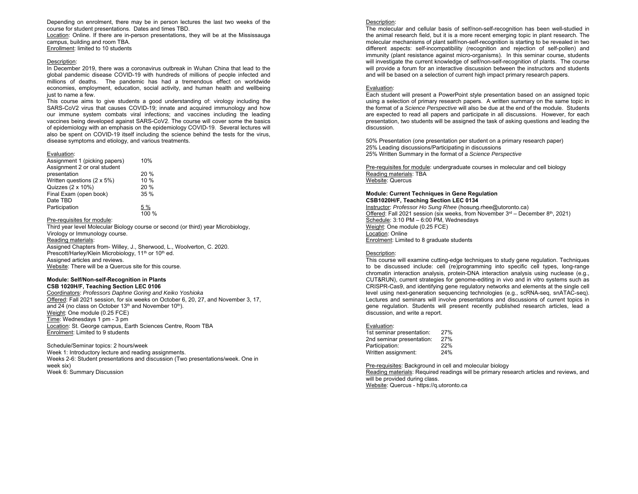Depending on enrolment, there may be in person lectures the last two weeks of the course for student presentations. Dates and times TBD.

Location: Online. If there are in-person presentations, they will be at the Mississauga campus, building and room TBA. Enrollment: limited to 10 students

#### Description:

In December 2019, there was a coronavirus outbreak in Wuhan China that lead to the global pandemic disease COVID-19 with hundreds of millions of people infected and millions of deaths. The pandemic has had a tremendous effect on worldwide economies, employment, education, social activity, and human health and wellbeing just to name a few.

This course aims to give students a good understanding of: virology including the SARS-CoV2 virus that causes COVID-19; innate and acquired immunology and how our immune system combats viral infections; and vaccines including the leading vaccines being developed against SARS-CoV2. The course will cover some the basics of epidemiology with an emphasis on the epidemiology COVID-19. Several lectures will also be spent on COVID-19 itself including the science behind the tests for the virus, disease symptoms and etiology, and various treatments.

#### Evaluation:

| Assignment 1 (picking papers) | 10%             |
|-------------------------------|-----------------|
| Assignment 2 or oral student  |                 |
| presentation                  | 20%             |
| Written questions (2 x 5%)    | 10 %            |
| Quizzes (2 x 10%)             | 20%             |
| Final Exam (open book)        | 35 %            |
| Date TBD                      |                 |
| Participation                 | <u>5 %</u>      |
|                               | $\frac{100}{%}$ |

### Pre-requisites for module:

Third year level Molecular Biology course or second (or third) year Microbiology, Virology or Immunology course.

#### Reading materials:

Assigned Chapters from- Willey, J., Sherwood, L., Woolverton, C. 2020. Prescott/Harley/Klein Microbiology, 11<sup>th</sup> or 10<sup>th</sup> ed. Assigned articles and reviews. Website: There will be a Quercus site for this course.

# **Module: Self/Non-self-Recognition in Plants**

**CSB 1020H/F, Teaching Section LEC 0106**  Coordinators: *Professors Daphne Goring and Keiko Yoshioka*  Offered: Fall 2021 session, for six weeks on October 6, 20, 27, and November 3, 17, and 24 (no class on October 13<sup>th</sup> and November 10<sup>th</sup>). Weight: One module (0.25 FCE) Time: Wednesdays 1 pm - 3 pm Location: St. George campus, Earth Sciences Centre, Room TBA Enrolment: Limited to 9 students

Schedule/Seminar topics: 2 hours/week Week 1: Introductory lecture and reading assignments. Weeks 2-6: Student presentations and discussion (Two presentations/week. One in week six) Week 6: Summary Discussion

# Description:

The molecular and cellular basis of self/non-self-recognition has been well-studied in the animal research field, but it is a more recent emerging topic in plant research. The molecular mechanisms of plant self/non-self-recognition is starting to be revealed in two different aspects: self-incompatibility (recognition and rejection of self-pollen) and immunity (plant resistance against micro-organisms). In this seminar course, students will investigate the current knowledge of self/non-self-recognition of plants. The course will provide a forum for an interactive discussion between the instructors and students and will be based on a selection of current high impact primary research papers.

#### Evaluation:

Each student will present a PowerPoint style presentation based on an assigned topic using a selection of primary research papers. A written summary on the same topic in the format of a *Science Perspective* will also be due at the end of the module. Students are expected to read all papers and participate in all discussions. However, for each presentation, two students will be assigned the task of asking questions and leading the discussion.

50% Presentation (one presentation per student on a primary research paper) 25% Leading discussions/Participating in discussions 25% Written Summary in the format of a *Science Perspective*

Pre-requisites for module: undergraduate courses in molecular and cell biology Reading materials: TBA Website: Quercus

#### **Module: Current Techniques in Gene Regulation CSB1020H/F, Teaching Section LEC 0134**

Instructor: *Professor Ho Sung Rhee* (hosung.rhee@utoronto.ca) Offered: Fall 2021 session (six weeks, from November  $3<sup>rd</sup>$  – December  $8<sup>th</sup>$ , 2021) Schedule: 3:10 PM – 6:00 PM, Wednesdays Weight: One module (0.25 FCE) Location: Online Enrolment: Limited to 8 graduate students

# Description:

This course will examine cutting-edge techniques to study gene regulation. Techniques to be discussed include: cell (re)programming into specific cell types, long-range chromatin interaction analysis, protein-DNA interaction analysis using nuclease (e.g., CUT&RUN), current strategies for genome-editing in vivo and in vitro systems such as CRISPR-Cas9, and identifying gene regulatory networks and elements at the single cell level using next-generation sequencing technologies (e.g., scRNA-seq, snATAC-seq). Lectures and seminars will involve presentations and discussions of current topics in gene regulation. Students will present recently published research articles, lead a discussion, and write a report.

#### Evaluation:

| 1st seminar presentation: | 27% |
|---------------------------|-----|
| 2nd seminar presentation: | 27% |
| Participation:            | 22% |
| Written assignment:       | 24% |

Pre-requisites: Background in cell and molecular biology Reading materials: Required readings will be primary research articles and reviews, and will be provided during class. Website: Quercus - https://q.utoronto.ca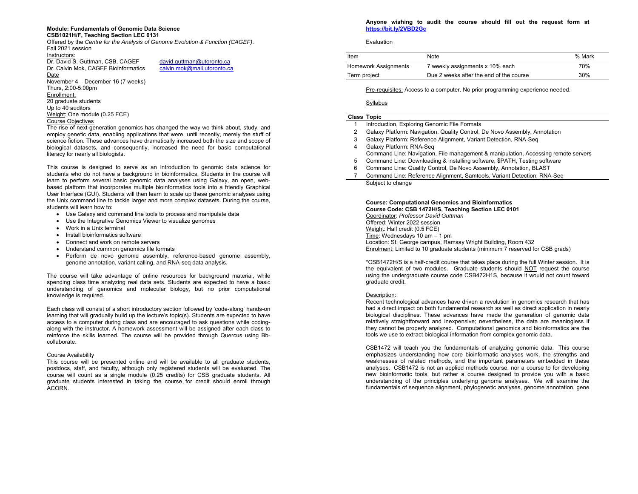# **Module: Fundamentals of Genomic Data Science**

# **CSB1021H/F, Teaching Section LEC 0131**

Offered by the *Centre for the Analysis of Genome Evolution & Function (CAGEF)*. Fall 2021 session Instructors:

Dr. David S. Guttman, CSB, CAGEF david.guttman@utoronto.ca Dr. Calvin Mok, CAGEF Bioinformatics calvin.mok@mail.utoronto.ca Date November 4 – December 16 (7 weeks) Thurs, 2:00-5:00pm Enrollment: 20 graduate students Up to 40 auditors Weight: One module (0.25 FCE) Course Objectives

The rise of next-generation genomics has changed the way we think about, study, and employ genetic data, enabling applications that were, until recently, merely the stuff of science fiction. These advances have dramatically increased both the size and scope of biological datasets, and consequently, increased the need for basic computational literacy for nearly all biologists.

This course is designed to serve as an introduction to genomic data science for students who do not have a background in bioinformatics. Students in the course will learn to perform several basic genomic data analyses using Galaxy, an open, webbased platform that incorporates multiple bioinformatics tools into a friendly Graphical User Interface (GUI). Students will then learn to scale up these genomic analyses using the Unix command line to tackle larger and more complex datasets. During the course, students will learn how to:

- Use Galaxy and command line tools to process and manipulate data
- Use the Integrative Genomics Viewer to visualize genomes
- Work in a Unix terminal
- Install bioinformatics software
- Connect and work on remote servers
- Understand common genomics file formats
- Perform de novo genome assembly, reference-based genome assembly, genome annotation, variant calling, and RNA-seq data analysis.

The course will take advantage of online resources for background material, while spending class time analyzing real data sets. Students are expected to have a basic understanding of genomics and molecular biology, but no prior computational knowledge is required.

Each class will consist of a short introductory section followed by 'code-along' hands-on learning that will gradually build up the lecture's topic(s). Students are expected to have access to a computer during class and are encouraged to ask questions while codingalong with the instructor. A homework assessment will be assigned after each class to reinforce the skills learned. The course will be provided through Quercus using Bbcollaborate.

# Course Availability

This course will be presented online and will be available to all graduate students, postdocs, staff, and faculty, although only registered students will be evaluated. The course will count as a single module (0.25 credits) for CSB graduate students. All graduate students interested in taking the course for credit should enroll through ACORN.

# **Anyone wishing to audit the course should fill out the request form at https://bit.ly/2VBD2Gc**

# Evaluation

| Item                 | Note                                    | % Mark |
|----------------------|-----------------------------------------|--------|
| Homework Assignments | 7 weekly assignments x 10% each         | 70%    |
| Term project         | Due 2 weeks after the end of the course | 30%    |

Pre-requisites: Access to a computer. No prior programming experience needed.

# Syllabus

- **Class Topic**
- Introduction, Exploring Genomic File Formats
- 2 Galaxy Platform: Navigation, Quality Control, De Novo Assembly, Annotation
- 3 Galaxy Platform: Reference Alignment, Variant Detection, RNA-Seq
- 4 Galaxy Platform: RNA-Seq Command Line: Navigation, File management & manipulation, Accessing remote servers
- 5 Command Line: Downloading & installing software, \$PATH, Testing software
- 6 Command Line: Quality Control, De Novo Assembly, Annotation, BLAST
- 7 Command Line: Reference Alignment, Samtools, Variant Detection, RNA-Seq Subject to change

## **Course: Computational Genomics and Bioinformatics Course Code: CSB 1472H/S, Teaching Section LEC 0101**  Coordinator: *Professor David Guttman*

Offered: Winter 2022 session Weight: Half credit (0.5 FCE) Time: Wednesdays 10 am – 1 pm Location: St. George campus, Ramsay Wright Building, Room 432 Enrolment: Limited to 10 graduate students (minimum 7 reserved for CSB grads)

\*CSB1472H/S is a half-credit course that takes place during the full Winter session. It is the equivalent of two modules. Graduate students should NOT request the course using the undergraduate course code CSB472H1S, because it would not count toward graduate credit.

# Description:

Recent technological advances have driven a revolution in genomics research that has had a direct impact on both fundamental research as well as direct application in nearly biological disciplines. These advances have made the generation of genomic data relatively straightforward and inexpensive; nevertheless, the data are meaningless if they cannot be properly analyzed. Computational genomics and bioinformatics are the tools we use to extract biological information from complex genomic data.

CSB1472 will teach you the fundamentals of analyzing genomic data. This course emphasizes understanding how core bioinformatic analyses work, the strengths and weaknesses of related methods, and the important parameters embedded in these analyses. CSB1472 is not an applied methods course, nor a course to for developing new bioinformatic tools, but rather a course designed to provide you with a basic understanding of the principles underlying genome analyses. We will examine the fundamentals of sequence alignment, phylogenetic analyses, genome annotation, gene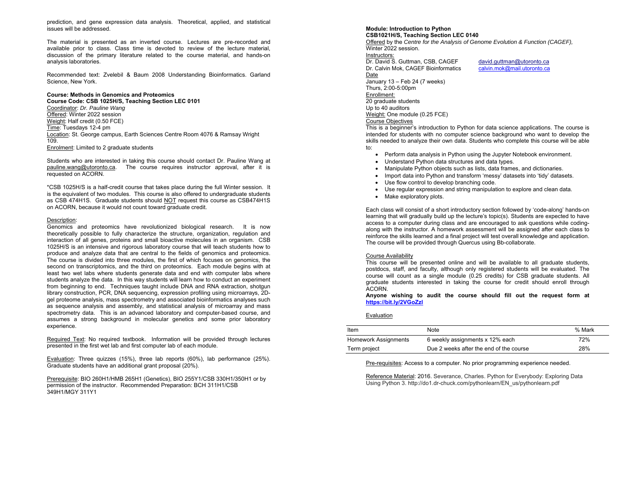prediction, and gene expression data analysis. Theoretical, applied, and statistical issues will be addressed.

The material is presented as an inverted course. Lectures are pre-recorded and available prior to class. Class time is devoted to review of the lecture material, discussion of the primary literature related to the course material, and hands-on analysis laboratories.

Recommended text: Zvelebil & Baum 2008 Understanding Bioinformatics. Garland Science, New York.

# **Course: Methods in Genomics and Proteomics**

**Course Code: CSB 1025H/S, Teaching Section LEC 0101**  Coordinator: *Dr. Pauline Wang* Offered: Winter 2022 session Weight: Half credit (0.50 FCE) Time: Tuesdays 12-4 pm Location: St. George campus, Earth Sciences Centre Room 4076 & Ramsay Wright 109. Enrolment: Limited to 2 graduate students

Students who are interested in taking this course should contact Dr. Pauline Wang at pauline.wang@utoronto.ca. The course requires instructor approval, after it is requested on ACORN.

\*CSB 1025H/S is a half-credit course that takes place during the full Winter session. It is the equivalent of two modules. This course is also offered to undergraduate students as CSB 474H1S. Graduate students should NOT request this course as CSB474H1S on ACORN, because it would not count toward graduate credit.

### Description:

Genomics and proteomics have revolutionized biological research. It is now theoretically possible to fully characterize the structure, organization, regulation and interaction of all genes, proteins and small bioactive molecules in an organism. CSB 1025H/S is an intensive and rigorous laboratory course that will teach students how to produce and analyze data that are central to the fields of genomics and proteomics. The course is divided into three modules, the first of which focuses on genomics, the second on transcriptomics, and the third on proteomics. Each module begins with at least two wet labs where students generate data and end with computer labs where students analyze the data. In this way students will learn how to conduct an experiment from beginning to end. Techniques taught include DNA and RNA extraction, shotgun library construction, PCR, DNA sequencing, expression profiling using microarrays, 2Dgel proteome analysis, mass spectrometry and associated bioinformatics analyses such as sequence analysis and assembly, and statistical analysis of microarray and mass spectrometry data. This is an advanced laboratory and computer-based course, and assumes a strong background in molecular genetics and some prior laboratory experience.

Required Text: No required textbook. Information will be provided through lectures presented in the first wet lab and first computer lab of each module.

Evaluation: Three quizzes (15%), three lab reports (60%), lab performance (25%). Graduate students have an additional grant proposal (20%).

Prerequisite: BIO 260H1/HMB 265H1 (Genetics), BIO 255Y1/CSB 330H1/350H1 or by permission of the instructor. Recommended Preparation: BCH 311H1/CSB 349H1/MGY 311Y1

**Module: Introduction to Python CSB1021H/S, Teaching Section LEC 0140** Offered by the *Centre for the Analysis of Genome Evolution & Function (CAGEF),*  Winter 2022 session. Instructors: Dr. David S. Guttman, CSB, CAGEF david.guttman@utoronto.ca Dr. Calvin Mok, CAGEF Bioinformatics calvin.mok@mail.utoronto.ca Date January 13 – Feb 24 (7 weeks) Thurs, 2:00-5:00pm Enrollment: 20 graduate students Up to 40 auditors Weight: One module (0.25 FCE)

## Course Objectives

This is a beginner's introduction to Python for data science applications. The course is intended for students with no computer science background who want to develop the skills needed to analyze their own data. Students who complete this course will be able to:

- Perform data analysis in Python using the Jupyter Notebook environment.
- Understand Python data structures and data types.
- Manipulate Python objects such as lists, data frames, and dictionaries.
- Import data into Python and transform 'messy' datasets into 'tidy' datasets.
- Use flow control to develop branching code.
- Use regular expression and string manipulation to explore and clean data.
- Make exploratory plots.

Each class will consist of a short introductory section followed by 'code-along' hands-on learning that will gradually build up the lecture's topic(s). Students are expected to have access to a computer during class and are encouraged to ask questions while codingalong with the instructor. A homework assessment will be assigned after each class to reinforce the skills learned and a final project will test overall knowledge and application. The course will be provided through Quercus using Bb-collaborate.

# Course Availability

This course will be presented online and will be available to all graduate students, postdocs, staff, and faculty, although only registered students will be evaluated. The course will count as a single module (0.25 credits) for CSB graduate students. All graduate students interested in taking the course for credit should enroll through ACORN.

**Anyone wishing to audit the course should fill out the request form at https://bit.ly/2VGoZzl**

Evaluation

| Item                 | Note                                    | % Mark |
|----------------------|-----------------------------------------|--------|
| Homework Assignments | 6 weekly assignments x 12% each         | 72%    |
| Term project         | Due 2 weeks after the end of the course | 28%    |

Pre-requisites: Access to a computer. No prior programming experience needed.

Reference Material: 2016. Severance, Charles. Python for Everybody: Exploring Data Using Python 3. http://do1.dr-chuck.com/pythonlearn/EN\_us/pythonlearn.pdf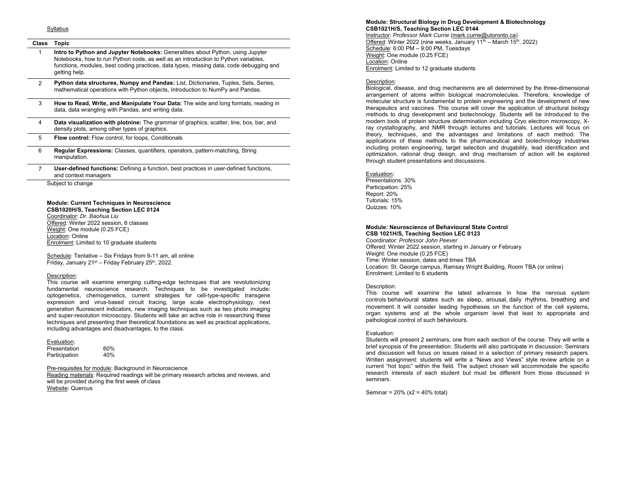# **Class Topic**

- 1 **Intro to Python and Jupyter Notebooks:** Generalities about Python, using Jupyter Notebooks, how to run Python code, as well as an introduction to Python variables, functions, modules, best coding practices, data types, missing data, code debugging and getting help.
- 2 **Python data structures, Numpy and Pandas:** List, Dictionaries, Tuples, Sets, Series, mathematical operations with Python objects, Introduction to NumPy and Pandas.
- 3 **How to Read, Write, and Manipulate Your Data:** The wide and long formats, reading in data, data wrangling with Pandas, and writing data.
- 4 **Data visualization with plotnine:** The grammar of graphics; scatter, line, box, bar, and density plots, among other types of graphics.
- 5 **Flow control:** Flow control, for loops, Conditionals
- 6 **Regular Expressions:** Classes, quantifiers, operators, pattern-matching, String manipulation.
- 7 **User-defined functions:** Defining a function, best practices in user-defined functions, and context managers

Subject to change

# **Module: Current Techniques in Neuroscience**

**CSB1020H/S, Teaching Section LEC 0124**  Coordinator: *Dr. Baohua Liu*  Offered: Winter 2022 session, 6 classes Weight: One module (0.25 FCE) Location: Online Enrolment: Limited to 10 graduate students

Schedule: Tentative – Six Fridays from 9-11 am, all online Friday, January 21st – Friday February 25th, 2022.

#### Description:

This course will examine emerging cutting-edge techniques that are revolutionizing fundamental neuroscience research. Techniques to be investigated include: optogenetics, chemogenetics, current strategies for cell-type-specific transgene expression and virus-based circuit tracing, large scale electrophysiology, next generation fluorescent indicators, new imaging techniques such as two photo imaging and super-resolution microscopy. Students will take an active role in researching these techniques and presenting their theoretical foundations as well as practical applications, including advantages and disadvantages, to the class.

| Evaluation:   |     |
|---------------|-----|
| Presentation  | 60% |
| Participation | 40% |

Pre-requisites for module: Background in Neuroscience Reading materials: Required readings will be primary research articles and reviews, and will be provided during the first week of class Website: Quercus

### **Module: Structural Biology in Drug Development & Biotechnology CSB1021H/S, Teaching Section LEC 0144**

Instructor: *Professor Mark Currie* (mark.currie@utoronto.ca) Offered: Winter 2022 (nine weeks, January 11<sup>th</sup> – March 15<sup>th</sup>, 2022) Schedule: 6:00 PM - 9:00 PM, Tuesdays Weight: One module (0.25 FCE) Location: Online**Enrolment: Limited to 12 graduate students** 

#### Description:

Biological, disease, and drug mechanisms are all determined by the three-dimensional arrangement of atoms within biological macromolecules. Therefore, knowledge of molecular structure is fundamental to protein engineering and the development of new therapeutics and vaccines. This course will cover the application of structural biology methods to drug development and biotechnology. Students will be introduced to the modern tools of protein structure determination including Cryo electron microscopy, Xray crystallography, and NMR through lectures and tutorials. Lectures will focus on theory, techniques, and the advantages and limitations of each method. The applications of these methods to the pharmaceutical and biotechnology industries including protein engineering, target selection and drugability, lead identification and optimization, rational drug design, and drug mechanism of action will be explored through student presentations and discussions.

#### Evaluation:

Presentations: 30% Participation: 25% Report: 20% Tutorials: 15% Quizzes: 10%

# **Module: Neuroscience of Behavioural State Control**

**CSB 1021H/S, Teaching Section LEC 0123** Coordinator*: Professor John Peever* Offered: Winter 2022 session, starting in January or February Weight: One module (0.25 FCE) Time: Winter session, dates and times TBA Location: St. George campus, Ramsay Wright Building, Room TBA (or online) Enrolment: Limited to 6 students

### Description:

This course will examine the latest advances in how the nervous system controls behavioural states such as sleep, arousal, daily rhythms, breathing and movement. It will consider leading hypotheses on the function of the cell systems, organ systems and at the whole organism level that lead to appropriate and pathological control of such behaviours.

#### Evaluation:

Students will present 2 seminars, one from each section of the course. They will write a brief synopsis of the presentation. Students will also participate in discussion. Seminars and discussion will focus on issues raised in a selection of primary research papers. Written assignment: students will write a "News and Views" style review article on a current "hot topic" within the field. The subject chosen will accommodate the specific research interests of each student but must be different from those discussed in seminars.

Seminar = 20% (x2 = 40% total)